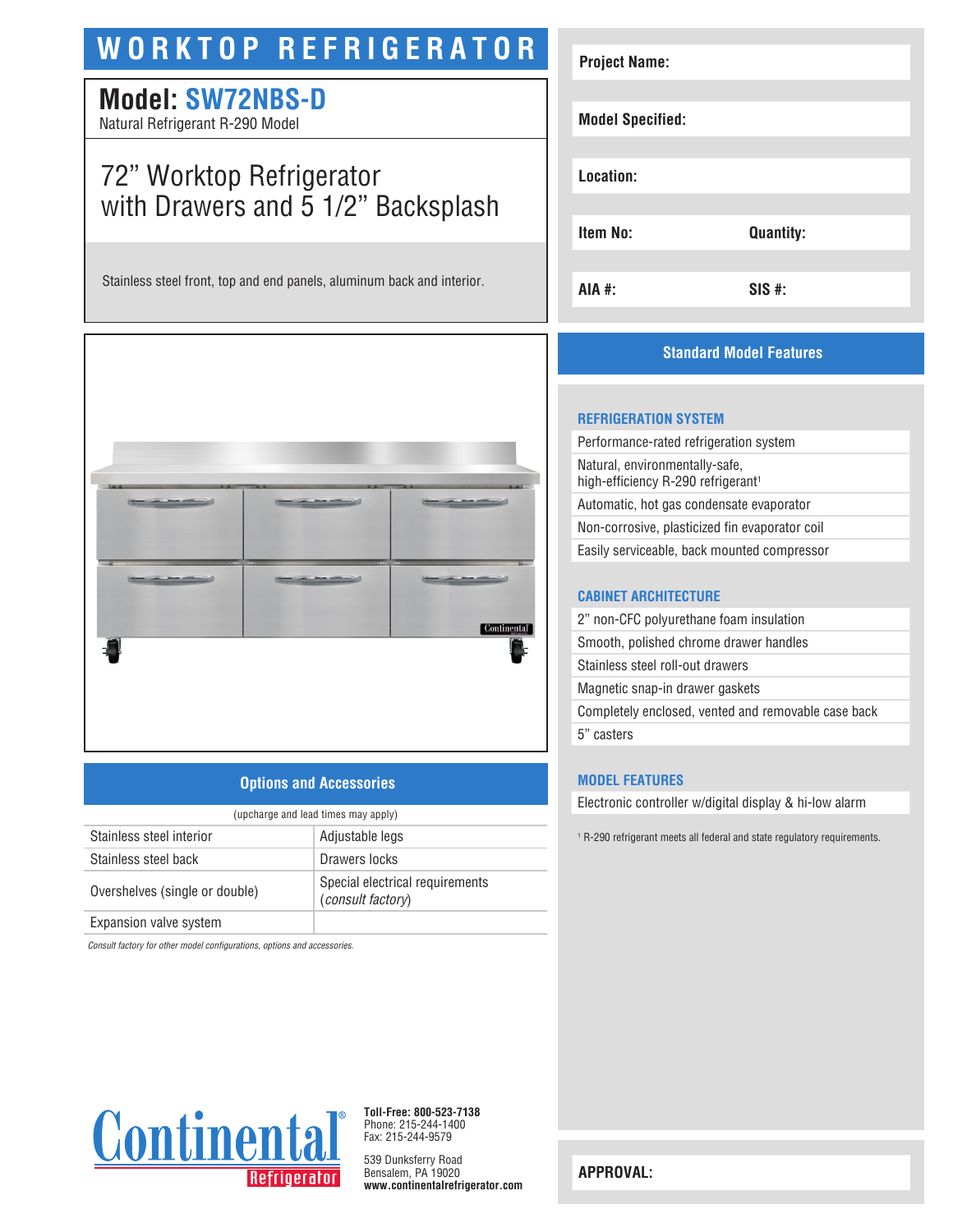# **WORKTOP REFRIGERATOR**

# **Model: SW72NBS-D**

Natural Refrigerant R-290 Model

# 72" Worktop Refrigerator with Drawers and 5 1/2" Backsplash

Stainless steel front, top and end panels, aluminum back and interior.



## **Options and Accessories**

| (upcharge and lead times may apply) |                                                             |  |
|-------------------------------------|-------------------------------------------------------------|--|
| Stainless steel interior            | Adjustable legs                                             |  |
| Stainless steel back                | Drawers locks                                               |  |
| Overshelves (single or double)      | Special electrical requirements<br><i>(consult factory)</i> |  |
| Expansion valve system              |                                                             |  |

*Consult factory for other model configurations, options and accessories.*



# **Standard Model Features**

#### **REFRIGERATION SYSTEM**

| Performance-rated refrigeration system                                           |
|----------------------------------------------------------------------------------|
| Natural, environmentally-safe,<br>high-efficiency R-290 refrigerant <sup>1</sup> |
| Automatic, hot gas condensate evaporator                                         |
| Non-corrosive, plasticized fin evaporator coil                                   |
| Easily serviceable, back mounted compressor                                      |
|                                                                                  |

#### **CABINET ARCHITECTURE**

| 2" non-CFC polyurethane foam insulation             |
|-----------------------------------------------------|
| Smooth, polished chrome drawer handles              |
| Stainless steel roll-out drawers                    |
| Magnetic snap-in drawer gaskets                     |
| Completely enclosed, vented and removable case back |
| 5" casters                                          |

#### **MODEL FEATURES**

Electronic controller w/digital display & hi-low alarm

1 R-290 refrigerant meets all federal and state regulatory requirements.



**Toll-Free: 800-523-7138** Phone: 215-244-1400 Fax: 215-244-9579

539 Dunksferry Road Bensalem, PA 19020 **www.continentalrefrigerator.com** 

**APPROVAL:**